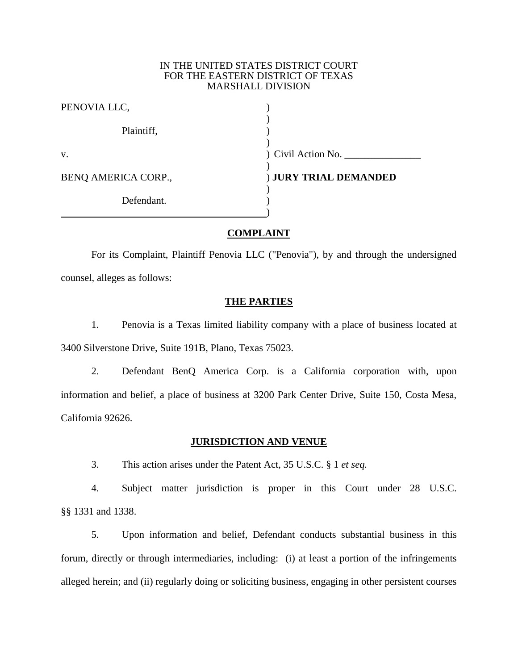#### IN THE UNITED STATES DISTRICT COURT FOR THE EASTERN DISTRICT OF TEXAS MARSHALL DIVISION

| PENOVIA LLC,        |                       |
|---------------------|-----------------------|
| Plaintiff,          |                       |
| V.                  | ) Civil Action No.    |
| BENQ AMERICA CORP., | ) JURY TRIAL DEMANDED |
| Defendant.          |                       |
|                     |                       |

## **COMPLAINT**

For its Complaint, Plaintiff Penovia LLC ("Penovia"), by and through the undersigned counsel, alleges as follows:

## **THE PARTIES**

1. Penovia is a Texas limited liability company with a place of business located at 3400 Silverstone Drive, Suite 191B, Plano, Texas 75023.

2. Defendant BenQ America Corp. is a California corporation with, upon information and belief, a place of business at 3200 Park Center Drive, Suite 150, Costa Mesa, California 92626.

### **JURISDICTION AND VENUE**

3. This action arises under the Patent Act, 35 U.S.C. § 1 *et seq.*

4. Subject matter jurisdiction is proper in this Court under 28 U.S.C. §§ 1331 and 1338.

5. Upon information and belief, Defendant conducts substantial business in this forum, directly or through intermediaries, including: (i) at least a portion of the infringements alleged herein; and (ii) regularly doing or soliciting business, engaging in other persistent courses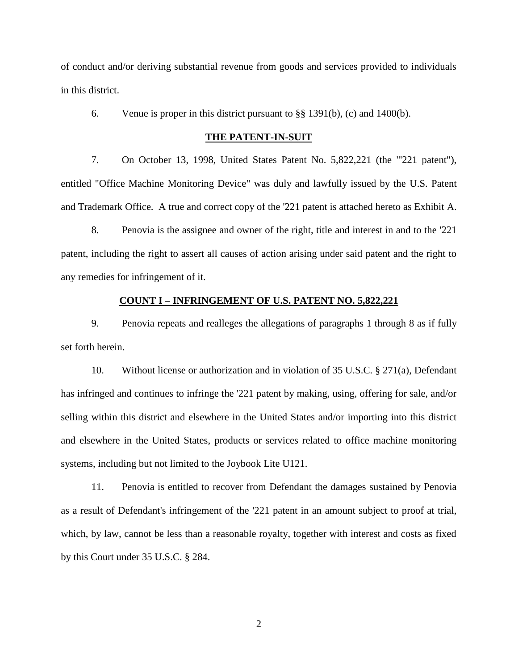of conduct and/or deriving substantial revenue from goods and services provided to individuals in this district.

6. Venue is proper in this district pursuant to §§ 1391(b), (c) and 1400(b).

#### **THE PATENT-IN-SUIT**

7. On October 13, 1998, United States Patent No. 5,822,221 (the "'221 patent"), entitled "Office Machine Monitoring Device" was duly and lawfully issued by the U.S. Patent and Trademark Office. A true and correct copy of the '221 patent is attached hereto as Exhibit A.

8. Penovia is the assignee and owner of the right, title and interest in and to the '221 patent, including the right to assert all causes of action arising under said patent and the right to any remedies for infringement of it.

## **COUNT I – INFRINGEMENT OF U.S. PATENT NO. 5,822,221**

9. Penovia repeats and realleges the allegations of paragraphs 1 through 8 as if fully set forth herein.

10. Without license or authorization and in violation of 35 U.S.C. § 271(a), Defendant has infringed and continues to infringe the '221 patent by making, using, offering for sale, and/or selling within this district and elsewhere in the United States and/or importing into this district and elsewhere in the United States, products or services related to office machine monitoring systems, including but not limited to the Joybook Lite U121.

11. Penovia is entitled to recover from Defendant the damages sustained by Penovia as a result of Defendant's infringement of the '221 patent in an amount subject to proof at trial, which, by law, cannot be less than a reasonable royalty, together with interest and costs as fixed by this Court under 35 U.S.C. § 284.

2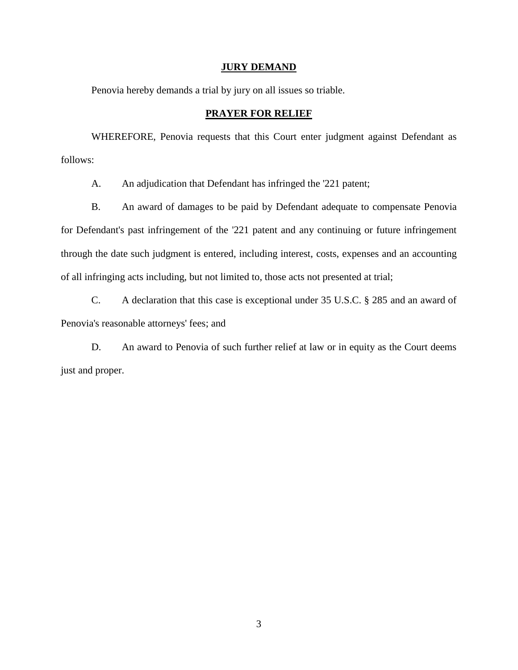#### **JURY DEMAND**

Penovia hereby demands a trial by jury on all issues so triable.

# **PRAYER FOR RELIEF**

WHEREFORE, Penovia requests that this Court enter judgment against Defendant as follows:

A. An adjudication that Defendant has infringed the '221 patent;

B. An award of damages to be paid by Defendant adequate to compensate Penovia for Defendant's past infringement of the '221 patent and any continuing or future infringement through the date such judgment is entered, including interest, costs, expenses and an accounting of all infringing acts including, but not limited to, those acts not presented at trial;

C. A declaration that this case is exceptional under 35 U.S.C. § 285 and an award of Penovia's reasonable attorneys' fees; and

D. An award to Penovia of such further relief at law or in equity as the Court deems just and proper.